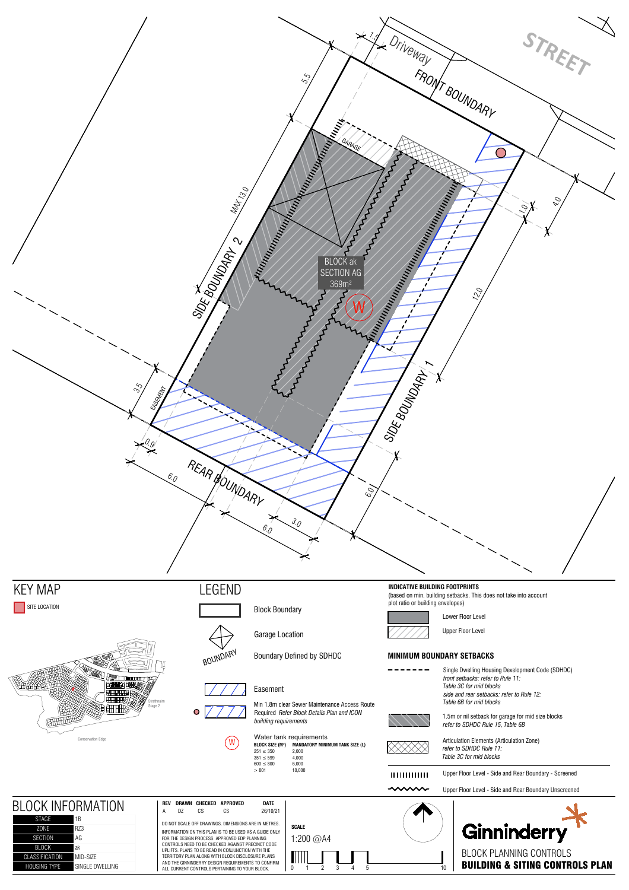